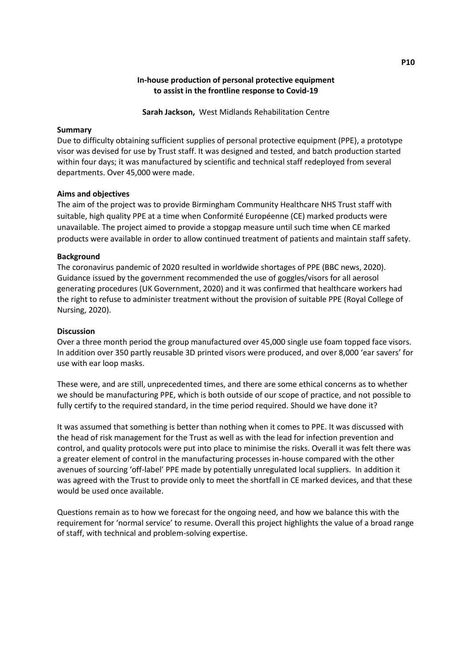# **In-house production of personal protective equipment to assist in the frontline response to Covid-19**

**Sarah Jackson,** West Midlands Rehabilitation Centre

### **Summary**

Due to difficulty obtaining sufficient supplies of personal protective equipment (PPE), a prototype visor was devised for use by Trust staff. It was designed and tested, and batch production started within four days; it was manufactured by scientific and technical staff redeployed from several departments. Over 45,000 were made.

### **Aims and objectives**

The aim of the project was to provide Birmingham Community Healthcare NHS Trust staff with suitable, high quality PPE at a time when Conformité Européenne (CE) marked products were unavailable. The project aimed to provide a stopgap measure until such time when CE marked products were available in order to allow continued treatment of patients and maintain staff safety.

### **Background**

The coronavirus pandemic of 2020 resulted in worldwide shortages of PPE (BBC news, 2020). Guidance issued by the government recommended the use of goggles/visors for all aerosol generating procedures (UK Government, 2020) and it was confirmed that healthcare workers had the right to refuse to administer treatment without the provision of suitable PPE (Royal College of Nursing, 2020).

#### **Discussion**

Over a three month period the group manufactured over 45,000 single use foam topped face visors. In addition over 350 partly reusable 3D printed visors were produced, and over 8,000 'ear savers' for use with ear loop masks.

These were, and are still, unprecedented times, and there are some ethical concerns as to whether we should be manufacturing PPE, which is both outside of our scope of practice, and not possible to fully certify to the required standard, in the time period required. Should we have done it?

It was assumed that something is better than nothing when it comes to PPE. It was discussed with the head of risk management for the Trust as well as with the lead for infection prevention and control, and quality protocols were put into place to minimise the risks. Overall it was felt there was a greater element of control in the manufacturing processes in-house compared with the other avenues of sourcing 'off-label' PPE made by potentially unregulated local suppliers. In addition it was agreed with the Trust to provide only to meet the shortfall in CE marked devices, and that these would be used once available.

Questions remain as to how we forecast for the ongoing need, and how we balance this with the requirement for 'normal service' to resume. Overall this project highlights the value of a broad range of staff, with technical and problem-solving expertise.